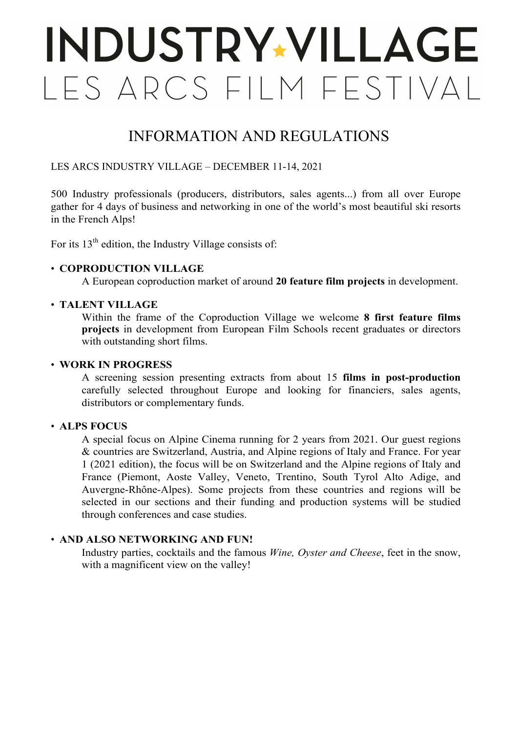# **INDUSTRY-VILLAGE** LES ARCS FILM FESTIVAL

## INFORMATION AND REGULATIONS

#### LES ARCS INDUSTRY VILLAGE – DECEMBER 11-14, 2021

500 Industry professionals (producers, distributors, sales agents...) from all over Europe gather for 4 days of business and networking in one of the world's most beautiful ski resorts in the French Alps!

For its  $13<sup>th</sup>$  edition, the Industry Village consists of:

#### • **COPRODUCTION VILLAGE**

A European coproduction market of around **20 feature film projects** in development.

#### • **TALENT VILLAGE**

Within the frame of the Coproduction Village we welcome **8 first feature films projects** in development from European Film Schools recent graduates or directors with outstanding short films.

#### • **WORK IN PROGRESS**

A screening session presenting extracts from about 15 **films in post-production** carefully selected throughout Europe and looking for financiers, sales agents, distributors or complementary funds.

#### • **ALPS FOCUS**

A special focus on Alpine Cinema running for 2 years from 2021. Our guest regions & countries are Switzerland, Austria, and Alpine regions of Italy and France. For year 1 (2021 edition), the focus will be on Switzerland and the Alpine regions of Italy and France (Piemont, Aoste Valley, Veneto, Trentino, South Tyrol Alto Adige, and Auvergne-Rhône-Alpes). Some projects from these countries and regions will be selected in our sections and their funding and production systems will be studied through conferences and case studies.

#### • **AND ALSO NETWORKING AND FUN!**

Industry parties, cocktails and the famous *Wine, Oyster and Cheese*, feet in the snow, with a magnificent view on the valley!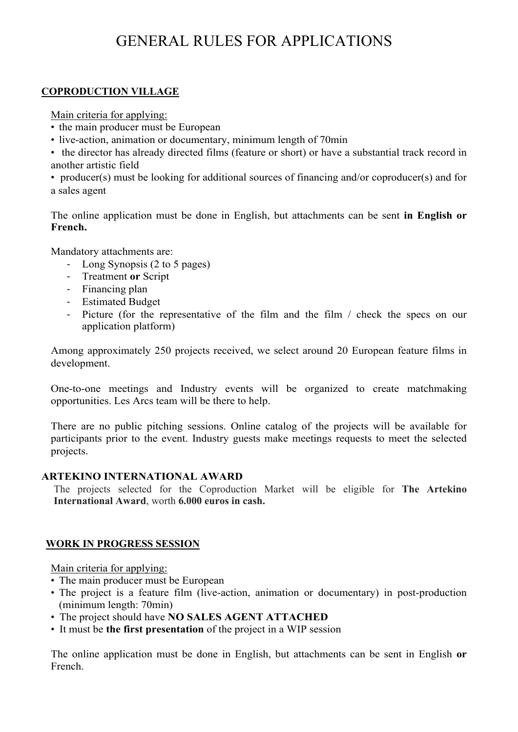## GENERAL RULES FOR APPLICATIONS

#### **COPRODUCTION VILLAGE**

Main criteria for applying:

- the main producer must be European
- live-action, animation or documentary, minimum length of 70min
- the director has already directed films (feature or short) or have a substantial track record in another artistic field
- producer(s) must be looking for additional sources of financing and/or coproducer(s) and for a sales agent

The online application must be done in English, but attachments can be sent **in English or French.**

Mandatory attachments are:

- Long Synopsis (2 to 5 pages)
- Treatment **or** Script
- Financing plan
- Estimated Budget
- Picture (for the representative of the film and the film / check the specs on our application platform)

Among approximately 250 projects received, we select around 20 European feature films in development.

One-to-one meetings and Industry events will be organized to create matchmaking opportunities. Les Arcs team will be there to help.

There are no public pitching sessions. Online catalog of the projects will be available for participants prior to the event. Industry guests make meetings requests to meet the selected projects.

#### **ARTEKINO INTERNATIONAL AWARD**

The projects selected for the Coproduction Market will be eligible for **The Artekino International Award**, worth **6.000 euros in cash.**

#### **WORK IN PROGRESS SESSION**

Main criteria for applying:

- The main producer must be European
- The project is a feature film (live-action, animation or documentary) in post-production (minimum length: 70min)
- The project should have **NO SALES AGENT ATTACHED**
- It must be **the first presentation** of the project in a WIP session

The online application must be done in English, but attachments can be sent in English **or** French.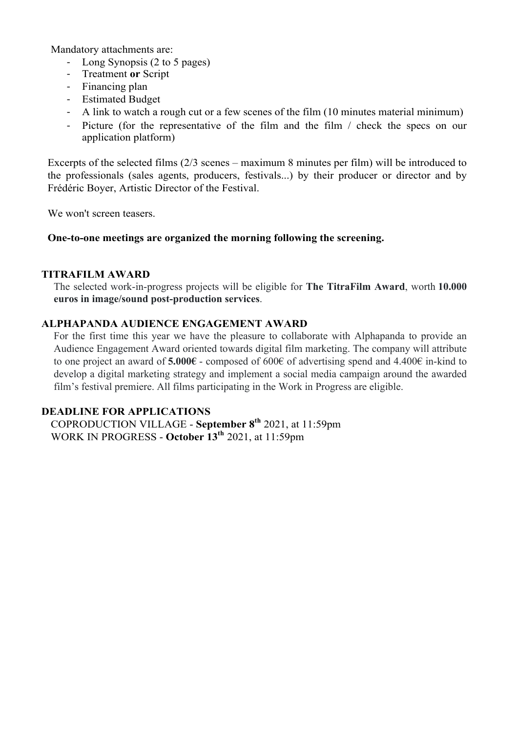Mandatory attachments are:

- Long Synopsis (2 to 5 pages)
- Treatment **or** Script
- Financing plan
- Estimated Budget
- A link to watch a rough cut or a few scenes of the film (10 minutes material minimum)
- Picture (for the representative of the film and the film / check the specs on our application platform)

Excerpts of the selected films (2/3 scenes – maximum 8 minutes per film) will be introduced to the professionals (sales agents, producers, festivals...) by their producer or director and by Frédéric Boyer, Artistic Director of the Festival.

We won't screen teasers.

#### **One-to-one meetings are organized the morning following the screening.**

#### **TITRAFILM AWARD**

The selected work-in-progress projects will be eligible for **The TitraFilm Award**, worth **10.000 euros in image/sound post-production services**.

#### **ALPHAPANDA AUDIENCE ENGAGEMENT AWARD**

For the first time this year we have the pleasure to collaborate with Alphapanda to provide an Audience Engagement Award oriented towards digital film marketing. The company will attribute to one project an award of **5.000€** - composed of 600€ of advertising spend and 4.400€ in-kind to develop a digital marketing strategy and implement a social media campaign around the awarded film's festival premiere. All films participating in the Work in Progress are eligible.

#### **DEADLINE FOR APPLICATIONS**

COPRODUCTION VILLAGE - **September 8th** 2021, at 11:59pm WORK IN PROGRESS - **October 13th** 2021, at 11:59pm